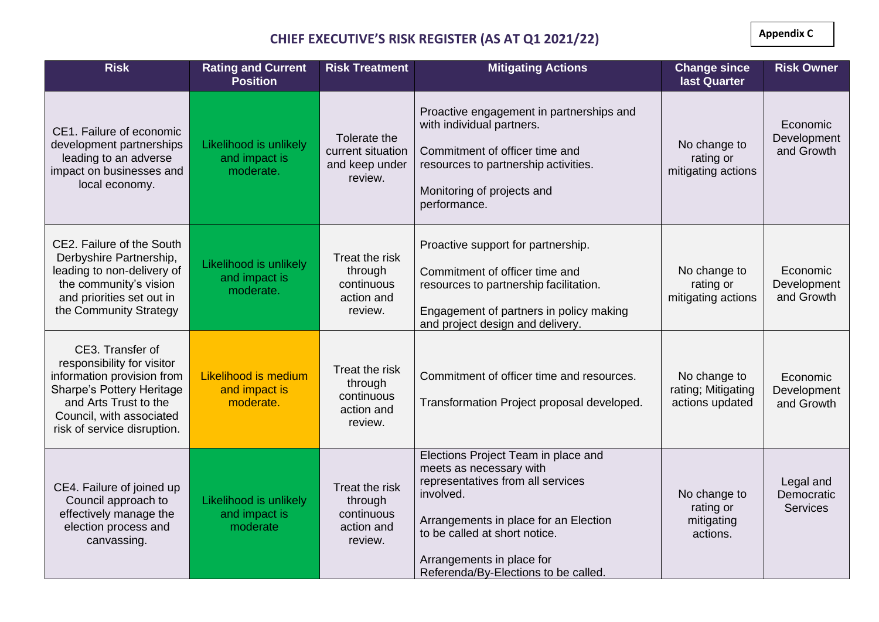**Appendix C**

## **CHIEF EXECUTIVE'S RISK REGISTER (AS AT Q1 2021/22)**

| <b>Risk</b>                                                                                                                                                                                   | <b>Rating and Current</b><br><b>Position</b>         | <b>Risk Treatment</b>                                            | <b>Mitigating Actions</b>                                                                                                                                                                                                                                       | <b>Change since</b><br>last Quarter                   | <b>Risk Owner</b>                          |
|-----------------------------------------------------------------------------------------------------------------------------------------------------------------------------------------------|------------------------------------------------------|------------------------------------------------------------------|-----------------------------------------------------------------------------------------------------------------------------------------------------------------------------------------------------------------------------------------------------------------|-------------------------------------------------------|--------------------------------------------|
| CE1. Failure of economic<br>development partnerships<br>leading to an adverse<br>impact on businesses and<br>local economy.                                                                   | Likelihood is unlikely<br>and impact is<br>moderate. | Tolerate the<br>current situation<br>and keep under<br>review.   | Proactive engagement in partnerships and<br>with individual partners.<br>Commitment of officer time and<br>resources to partnership activities.<br>Monitoring of projects and<br>performance.                                                                   | No change to<br>rating or<br>mitigating actions       | Economic<br>Development<br>and Growth      |
| CE2. Failure of the South<br>Derbyshire Partnership,<br>leading to non-delivery of<br>the community's vision<br>and priorities set out in<br>the Community Strategy                           | Likelihood is unlikely<br>and impact is<br>moderate. | Treat the risk<br>through<br>continuous<br>action and<br>review. | Proactive support for partnership.<br>Commitment of officer time and<br>resources to partnership facilitation.<br>Engagement of partners in policy making<br>and project design and delivery.                                                                   | No change to<br>rating or<br>mitigating actions       | Economic<br>Development<br>and Growth      |
| CE3. Transfer of<br>responsibility for visitor<br>information provision from<br>Sharpe's Pottery Heritage<br>and Arts Trust to the<br>Council, with associated<br>risk of service disruption. | Likelihood is medium<br>and impact is<br>moderate.   | Treat the risk<br>through<br>continuous<br>action and<br>review. | Commitment of officer time and resources.<br>Transformation Project proposal developed.                                                                                                                                                                         | No change to<br>rating; Mitigating<br>actions updated | Economic<br>Development<br>and Growth      |
| CE4. Failure of joined up<br>Council approach to<br>effectively manage the<br>election process and<br>canvassing.                                                                             | Likelihood is unlikely<br>and impact is<br>moderate  | Treat the risk<br>through<br>continuous<br>action and<br>review. | Elections Project Team in place and<br>meets as necessary with<br>representatives from all services<br>involved.<br>Arrangements in place for an Election<br>to be called at short notice.<br>Arrangements in place for<br>Referenda/By-Elections to be called. | No change to<br>rating or<br>mitigating<br>actions.   | Legal and<br>Democratic<br><b>Services</b> |